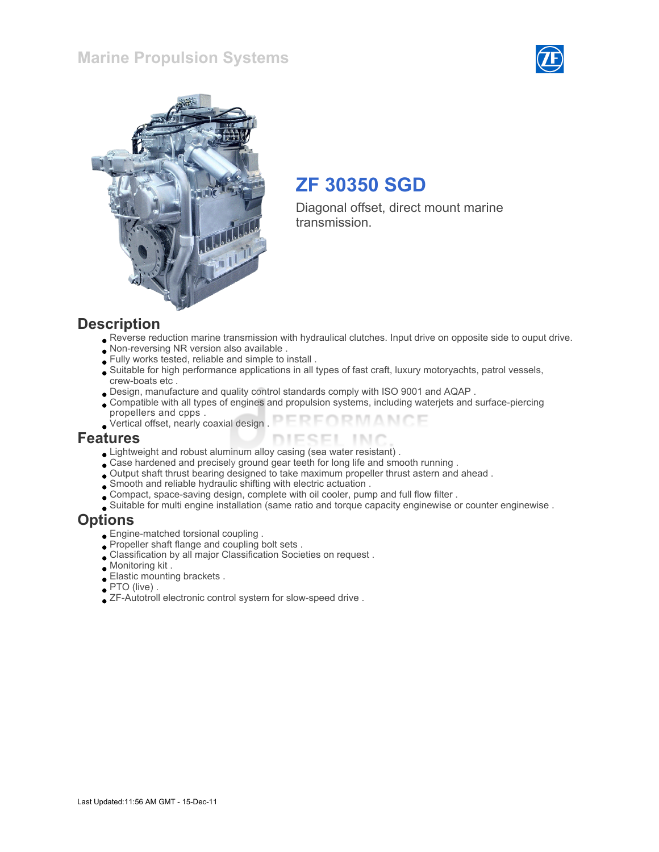### Marine Propulsion Systems





### ZF 30350 SGD

Diagonal offset, direct mount marine transmission.

#### **Description**

- Reverse reduction marine transmission with hydraulical clutches. Input drive on opposite side to ouput drive.
- Non-reversing NR version also available .
- Fully works tested, reliable and simple to install .
- Suitable for high performance applications in all types of fast craft, luxury motoryachts, patrol vessels, crew-boats etc .
- Design, manufacture and quality control standards comply with ISO 9001 and AQAP .
- Compatible with all types of engines and propulsion systems, including waterjets and surface-piercing propellers and cpps .
- FORMANCE Vertical offset, nearly coaxial design .

#### Features

- Lightweight and robust aluminum alloy casing (sea water resistant) .
- Case hardened and precisely ground gear teeth for long life and smooth running .
- Output shaft thrust bearing designed to take maximum propeller thrust astern and ahead .
- Smooth and reliable hydraulic shifting with electric actuation .
- Compact, space-saving design, complete with oil cooler, pump and full flow filter .
- Suitable for multi engine installation (same ratio and torque capacity enginewise or counter enginewise .

#### **Options**

- Engine-matched torsional coupling .
- Propeller shaft flange and coupling bolt sets .
- Classification by all major Classification Societies on request .
- Monitoring kit .
- Elastic mounting brackets .
- PTO (live) .
- ZF-Autotroll electronic control system for slow-speed drive .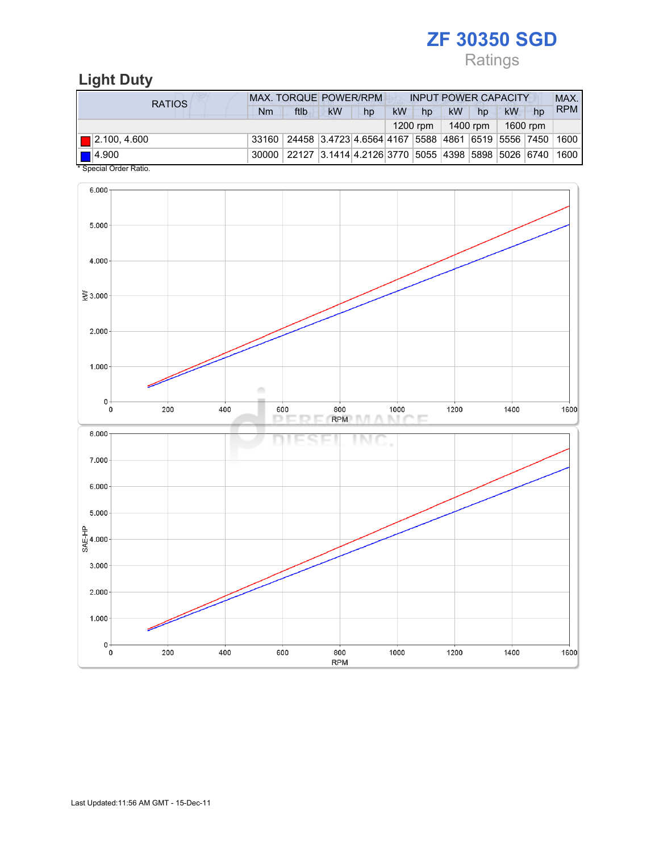## Ratings

### Light Duty

| RATIOS                                | <b>MAX. TORQUE POWER/RPM</b> |                                                              |    |    | <b>INPUT POWER CAPACITY</b> |            |          |    |          |    | MAX.       |  |
|---------------------------------------|------------------------------|--------------------------------------------------------------|----|----|-----------------------------|------------|----------|----|----------|----|------------|--|
|                                       | Nm                           | ftlb                                                         | kW | hp | kW                          | hp         | kW       | hp | kW       | hp | <b>RPM</b> |  |
|                                       |                              |                                                              |    |    |                             | $1200$ rpm | 1400 rpm |    | 1600 rpm |    |            |  |
| $\blacksquare$ 2.100, 4.600           |                              | 33160 24458 3.4723 4.6564 4167 5588 4861 6519 5556 7450 1600 |    |    |                             |            |          |    |          |    |            |  |
| 14.900<br>$*$ On a stall Onder Datter |                              | 30000 22127 3.1414 4.2126 3770 5055 4398 5898 5026 6740 1600 |    |    |                             |            |          |    |          |    |            |  |

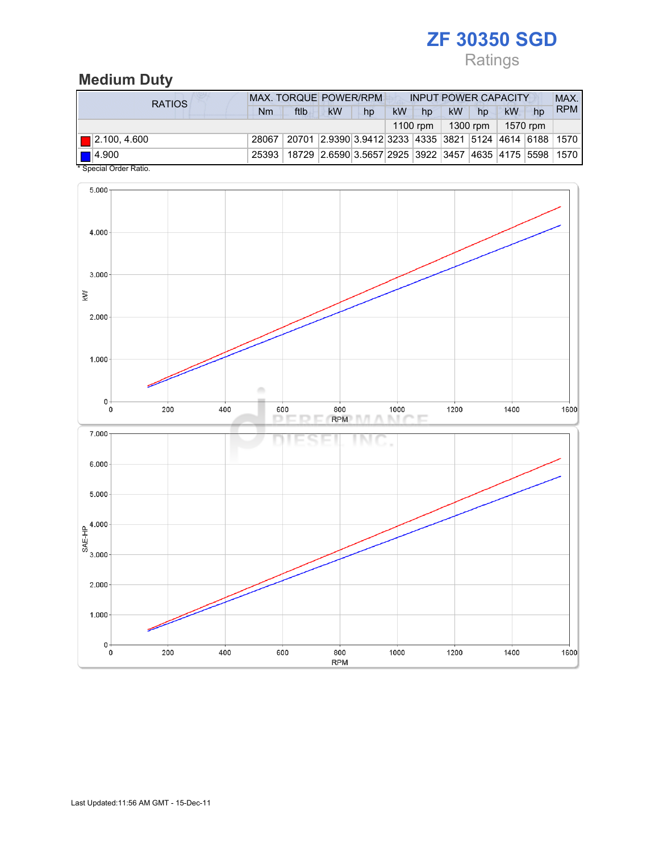## Ratings

### Medium Duty

| RATIOS                                                | <b>MAX. TORQUE POWER/RPM</b><br><b>INPUT POWER CAPACITY</b> |                                                                              |    |    |           |    |                                |    |    |    | MAX.       |
|-------------------------------------------------------|-------------------------------------------------------------|------------------------------------------------------------------------------|----|----|-----------|----|--------------------------------|----|----|----|------------|
|                                                       | Nm                                                          | ftlb                                                                         | kW | hp | <b>kW</b> | hp | <b>kW</b>                      | hp | kW | hp | <b>RPM</b> |
|                                                       |                                                             |                                                                              |    |    |           |    | 1100 rpm   1300 rpm   1570 rpm |    |    |    |            |
| $\blacksquare$ 2.100, 4.600                           | 28067                                                       | 20701   2.9390   3.9412   3233   4335   3821   5124   4614   6188   1570     |    |    |           |    |                                |    |    |    |            |
| $\blacksquare$ 4.900<br>$*$ Consider Codes Definition |                                                             | 25393   18729   2.6590 3.5657 2925   3922   3457   4635   4175   5598   1570 |    |    |           |    |                                |    |    |    |            |

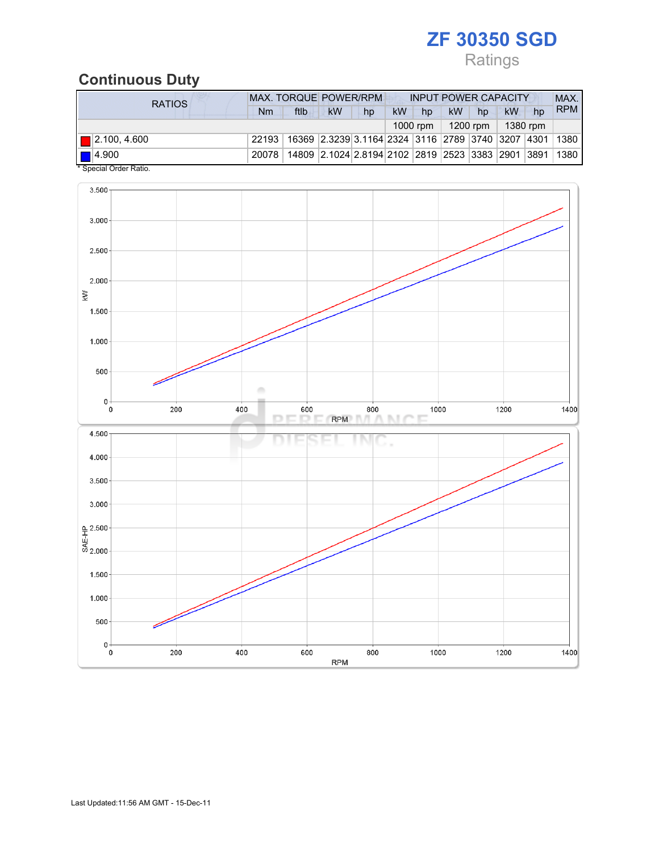### Ratings

### Continuous Duty

| RATIOS                                            | <b>MAX. TORQUE POWER/RPM</b><br><b>INPUT POWER CAPACITY</b>                      |      |                                                        |    |           |                      |    |                     |    | MAX. |            |
|---------------------------------------------------|----------------------------------------------------------------------------------|------|--------------------------------------------------------|----|-----------|----------------------|----|---------------------|----|------|------------|
|                                                   | Nm                                                                               | ftlb | kW                                                     | hp | <b>kW</b> | hp                   | kW | hp                  | kW | hp   | <b>RPM</b> |
|                                                   |                                                                                  |      |                                                        |    |           | 1000 rpm $\parallel$ |    | 1200 rpm   1380 rpm |    |      |            |
| $\blacksquare$ 2.100, 4.600                       | 22193   16369   2.3239   3.1164   2324   3116   2789   3740   3207   4301   1380 |      |                                                        |    |           |                      |    |                     |    |      |            |
| $\blacksquare$ 4.900<br>$*$ Consider Order Detter | 20078                                                                            |      | 14809 2.1024 2.8194 2102 2819 2523 3383 2901 3891 1380 |    |           |                      |    |                     |    |      |            |

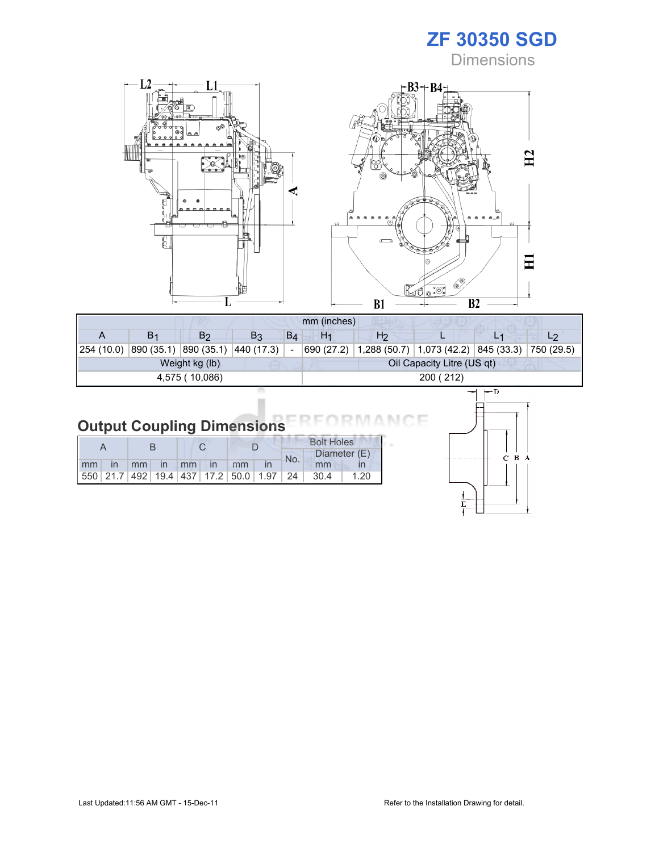**Dimensions** 



| mm (inches)    |                |                                    |                |       |                |                                                                    |                            |              |  |  |  |
|----------------|----------------|------------------------------------|----------------|-------|----------------|--------------------------------------------------------------------|----------------------------|--------------|--|--|--|
|                | B <sub>1</sub> | B <sub>2</sub>                     | B <sub>3</sub> | $B_4$ | H <sub>1</sub> | H <sub>2</sub>                                                     |                            |              |  |  |  |
| 254 (10.0)     |                | 890 (35.1)  890 (35.1)  440 (17.3) |                |       |                | 690 (27.2)   1,288 (50.7)   1,073 (42.2)   845 (33.3)   750 (29.5) |                            |              |  |  |  |
| Weight kg (lb) |                |                                    |                |       |                |                                                                    | Oil Capacity Litre (US qt) |              |  |  |  |
| 4,575 (10,086) |                |                                    |                |       | 200 (212)      |                                                                    |                            |              |  |  |  |
|                |                |                                    |                |       |                |                                                                    |                            | <u>ьн. І</u> |  |  |  |

#### Output Coupling Dimensions nл

|       |  |  |                |  | <b>Bolt Holes</b> |                                                                |              |  |
|-------|--|--|----------------|--|-------------------|----------------------------------------------------------------|--------------|--|
|       |  |  |                |  | No.               |                                                                | Diameter (E) |  |
| mm in |  |  | mm in mm in mm |  |                   | mm                                                             |              |  |
|       |  |  |                |  |                   | 550   21.7   492   19.4   437   17.2   50.0   1.97   24   30.4 | 1.20         |  |



١F

МC